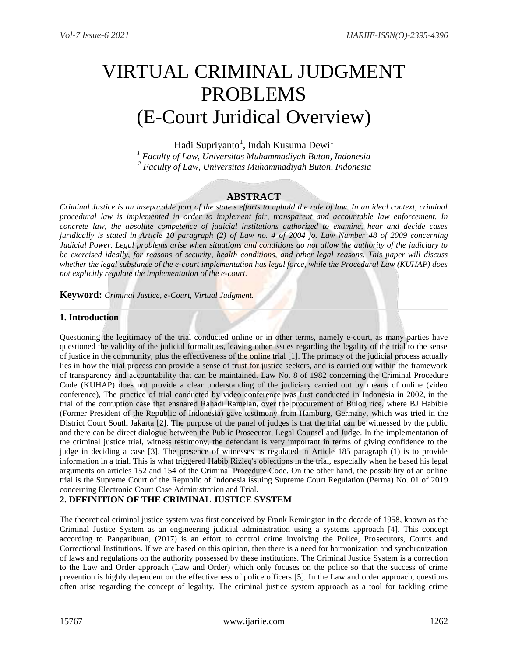# VIRTUAL CRIMINAL JUDGMENT PROBLEMS (E-Court Juridical Overview)

Hadi Supriyanto<sup>1</sup>, Indah Kusuma Dewi<sup>1</sup>

*<sup>1</sup> Faculty of Law, Universitas Muhammadiyah Buton, Indonesia <sup>2</sup> Faculty of Law, Universitas Muhammadiyah Buton, Indonesia*

# **ABSTRACT**

*Criminal Justice is an inseparable part of the state's efforts to uphold the rule of law. In an ideal context, criminal procedural law is implemented in order to implement fair, transparent and accountable law enforcement. In concrete law, the absolute competence of judicial institutions authorized to examine, hear and decide cases juridically is stated in Article 10 paragraph (2) of Law no. 4 of 2004 jo. Law Number 48 of 2009 concerning Judicial Power. Legal problems arise when situations and conditions do not allow the authority of the judiciary to be exercised ideally, for reasons of security, health conditions, and other legal reasons. This paper will discuss whether the legal substance of the e-court implementation has legal force, while the Procedural Law (KUHAP) does not explicitly regulate the implementation of the e-court.*

**Keyword:** *Criminal Justice, e-Court, Virtual Judgment.*

### **1. Introduction**

Questioning the legitimacy of the trial conducted online or in other terms, namely e-court, as many parties have questioned the validity of the judicial formalities, leaving other issues regarding the legality of the trial to the sense of justice in the community, plus the effectiveness of the online trial [1]. The primacy of the judicial process actually lies in how the trial process can provide a sense of trust for justice seekers, and is carried out within the framework of transparency and accountability that can be maintained. Law No. 8 of 1982 concerning the Criminal Procedure Code (KUHAP) does not provide a clear understanding of the judiciary carried out by means of online (video conference), The practice of trial conducted by video conference was first conducted in Indonesia in 2002, in the trial of the corruption case that ensnared Rahadi Ramelan, over the procurement of Bulog rice, where BJ Habibie (Former President of the Republic of Indonesia) gave testimony from Hamburg, Germany, which was tried in the District Court South Jakarta [2]. The purpose of the panel of judges is that the trial can be witnessed by the public and there can be direct dialogue between the Public Prosecutor, Legal Counsel and Judge. In the implementation of the criminal justice trial, witness testimony, the defendant is very important in terms of giving confidence to the judge in deciding a case [3]. The presence of witnesses as regulated in Article 185 paragraph (1) is to provide information in a trial. This is what triggered Habib Rizieq's objections in the trial, especially when he based his legal arguments on articles 152 and 154 of the Criminal Procedure Code. On the other hand, the possibility of an online trial is the Supreme Court of the Republic of Indonesia issuing Supreme Court Regulation (Perma) No. 01 of 2019 concerning Electronic Court Case Administration and Trial.

## **2. DEFINITION OF THE CRIMINAL JUSTICE SYSTEM**

The theoretical criminal justice system was first conceived by Frank Remington in the decade of 1958, known as the Criminal Justice System as an engineering judicial administration using a systems approach [4]. This concept according to Pangaribuan, (2017) is an effort to control crime involving the Police, Prosecutors, Courts and Correctional Institutions. If we are based on this opinion, then there is a need for harmonization and synchronization of laws and regulations on the authority possessed by these institutions. The Criminal Justice System is a correction to the Law and Order approach (Law and Order) which only focuses on the police so that the success of crime prevention is highly dependent on the effectiveness of police officers [5]. In the Law and order approach, questions often arise regarding the concept of legality. The criminal justice system approach as a tool for tackling crime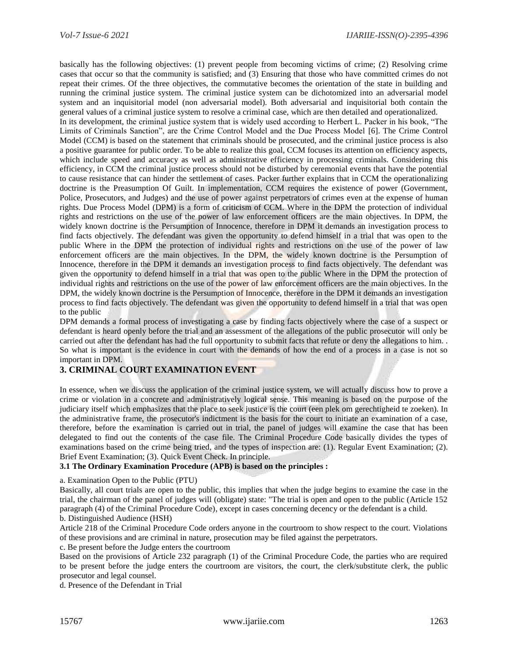basically has the following objectives: (1) prevent people from becoming victims of crime; (2) Resolving crime cases that occur so that the community is satisfied; and (3) Ensuring that those who have committed crimes do not repeat their crimes. Of the three objectives, the commutative becomes the orientation of the state in building and running the criminal justice system. The criminal justice system can be dichotomized into an adversarial model system and an inquisitorial model (non adversarial model). Both adversarial and inquisitorial both contain the general values of a criminal justice system to resolve a criminal case, which are then detailed and operationalized.

In its development, the criminal justice system that is widely used according to Herbert L. Packer in his book, "The Limits of Criminals Sanction", are the Crime Control Model and the Due Process Model [6]. The Crime Control Model (CCM) is based on the statement that criminals should be prosecuted, and the criminal justice process is also a positive guarantee for public order. To be able to realize this goal, CCM focuses its attention on efficiency aspects, which include speed and accuracy as well as administrative efficiency in processing criminals. Considering this efficiency, in CCM the criminal justice process should not be disturbed by ceremonial events that have the potential to cause resistance that can hinder the settlement of cases. Packer further explains that in CCM the operationalizing doctrine is the Preasumption Of Guilt. In implementation, CCM requires the existence of power (Government, Police, Prosecutors, and Judges) and the use of power against perpetrators of crimes even at the expense of human rights. Due Process Model (DPM) is a form of criticism of CCM. Where in the DPM the protection of individual rights and restrictions on the use of the power of law enforcement officers are the main objectives. In DPM, the widely known doctrine is the Persumption of Innocence, therefore in DPM it demands an investigation process to find facts objectively. The defendant was given the opportunity to defend himself in a trial that was open to the public Where in the DPM the protection of individual rights and restrictions on the use of the power of law enforcement officers are the main objectives. In the DPM, the widely known doctrine is the Persumption of Innocence, therefore in the DPM it demands an investigation process to find facts objectively. The defendant was given the opportunity to defend himself in a trial that was open to the public Where in the DPM the protection of individual rights and restrictions on the use of the power of law enforcement officers are the main objectives. In the DPM, the widely known doctrine is the Persumption of Innocence, therefore in the DPM it demands an investigation process to find facts objectively. The defendant was given the opportunity to defend himself in a trial that was open to the public

DPM demands a formal process of investigating a case by finding facts objectively where the case of a suspect or defendant is heard openly before the trial and an assessment of the allegations of the public prosecutor will only be carried out after the defendant has had the full opportunity to submit facts that refute or deny the allegations to him. . So what is important is the evidence in court with the demands of how the end of a process in a case is not so important in DPM.

## **3. CRIMINAL COURT EXAMINATION EVENT**

In essence, when we discuss the application of the criminal justice system, we will actually discuss how to prove a crime or violation in a concrete and administratively logical sense. This meaning is based on the purpose of the judiciary itself which emphasizes that the place to seek justice is the court (een plek om gerechtigheid te zoeken). In the administrative frame, the prosecutor's indictment is the basis for the court to initiate an examination of a case, therefore, before the examination is carried out in trial, the panel of judges will examine the case that has been delegated to find out the contents of the case file. The Criminal Procedure Code basically divides the types of examinations based on the crime being tried, and the types of inspection are: (1). Regular Event Examination; (2). Brief Event Examination; (3). Quick Event Check. In principle.

#### **3.1 The Ordinary Examination Procedure (APB) is based on the principles :**

a. Examination Open to the Public (PTU)

Basically, all court trials are open to the public, this implies that when the judge begins to examine the case in the trial, the chairman of the panel of judges will (obligate) state: "The trial is open and open to the public (Article 152 paragraph (4) of the Criminal Procedure Code), except in cases concerning decency or the defendant is a child. b. Distinguished Audience (HSH)

Article 218 of the Criminal Procedure Code orders anyone in the courtroom to show respect to the court. Violations of these provisions and are criminal in nature, prosecution may be filed against the perpetrators.

c. Be present before the Judge enters the courtroom

Based on the provisions of Article 232 paragraph (1) of the Criminal Procedure Code, the parties who are required to be present before the judge enters the courtroom are visitors, the court, the clerk/substitute clerk, the public prosecutor and legal counsel.

d. Presence of the Defendant in Trial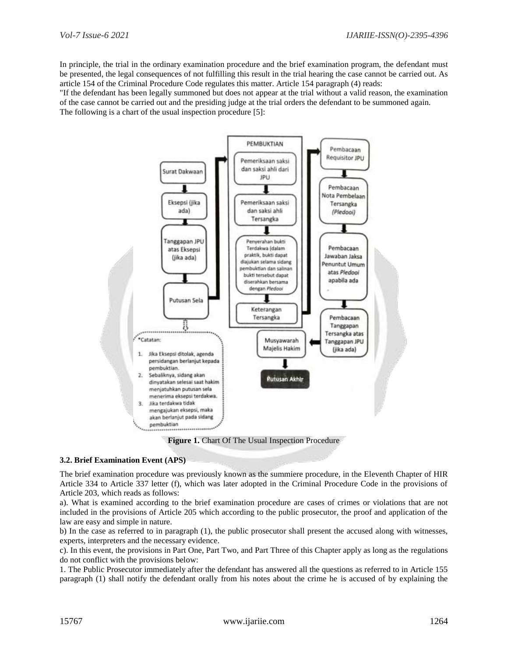In principle, the trial in the ordinary examination procedure and the brief examination program, the defendant must be presented, the legal consequences of not fulfilling this result in the trial hearing the case cannot be carried out. As article 154 of the Criminal Procedure Code regulates this matter. Article 154 paragraph (4) reads:

"If the defendant has been legally summoned but does not appear at the trial without a valid reason, the examination of the case cannot be carried out and the presiding judge at the trial orders the defendant to be summoned again. The following is a chart of the usual inspection procedure [5]:



**Figure 1.** Chart Of The Usual Inspection Procedure

#### **3.2. Brief Examination Event (APS)**

The brief examination procedure was previously known as the summiere procedure, in the Eleventh Chapter of HIR Article 334 to Article 337 letter (f), which was later adopted in the Criminal Procedure Code in the provisions of Article 203, which reads as follows:

a). What is examined according to the brief examination procedure are cases of crimes or violations that are not included in the provisions of Article 205 which according to the public prosecutor, the proof and application of the law are easy and simple in nature.

b) In the case as referred to in paragraph (1), the public prosecutor shall present the accused along with witnesses, experts, interpreters and the necessary evidence.

c). In this event, the provisions in Part One, Part Two, and Part Three of this Chapter apply as long as the regulations do not conflict with the provisions below:

1. The Public Prosecutor immediately after the defendant has answered all the questions as referred to in Article 155 paragraph (1) shall notify the defendant orally from his notes about the crime he is accused of by explaining the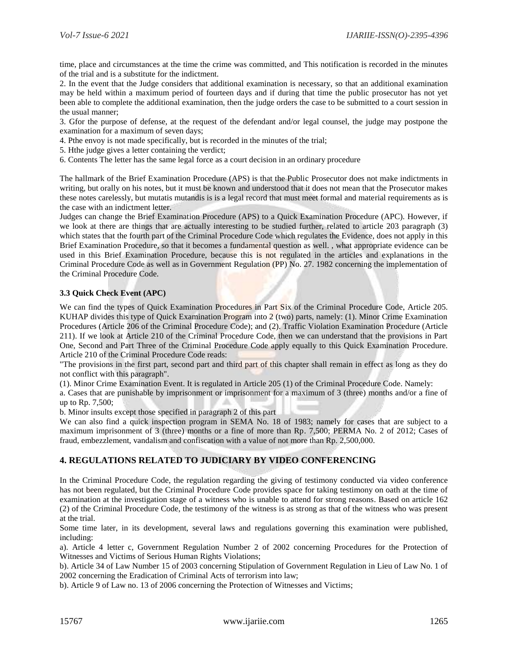time, place and circumstances at the time the crime was committed, and This notification is recorded in the minutes of the trial and is a substitute for the indictment.

2. In the event that the Judge considers that additional examination is necessary, so that an additional examination may be held within a maximum period of fourteen days and if during that time the public prosecutor has not yet been able to complete the additional examination, then the judge orders the case to be submitted to a court session in the usual manner;

3. Gfor the purpose of defense, at the request of the defendant and/or legal counsel, the judge may postpone the examination for a maximum of seven days;

- 4. Pthe envoy is not made specifically, but is recorded in the minutes of the trial;
- 5. Hthe judge gives a letter containing the verdict;
- 6. Contents The letter has the same legal force as a court decision in an ordinary procedure

The hallmark of the Brief Examination Procedure (APS) is that the Public Prosecutor does not make indictments in writing, but orally on his notes, but it must be known and understood that it does not mean that the Prosecutor makes these notes carelessly, but mutatis mutandis is is a legal record that must meet formal and material requirements as is the case with an indictment letter.

Judges can change the Brief Examination Procedure (APS) to a Quick Examination Procedure (APC). However, if we look at there are things that are actually interesting to be studied further, related to article 203 paragraph (3) which states that the fourth part of the Criminal Procedure Code which regulates the Evidence, does not apply in this Brief Examination Procedure, so that it becomes a fundamental question as well. , what appropriate evidence can be used in this Brief Examination Procedure, because this is not regulated in the articles and explanations in the Criminal Procedure Code as well as in Government Regulation (PP) No. 27. 1982 concerning the implementation of the Criminal Procedure Code.

#### **3.3 Quick Check Event (APC)**

We can find the types of Quick Examination Procedures in Part Six of the Criminal Procedure Code, Article 205. KUHAP divides this type of Quick Examination Program into 2 (two) parts, namely: (1). Minor Crime Examination Procedures (Article 206 of the Criminal Procedure Code); and (2). Traffic Violation Examination Procedure (Article 211). If we look at Article 210 of the Criminal Procedure Code, then we can understand that the provisions in Part One, Second and Part Three of the Criminal Procedure Code apply equally to this Quick Examination Procedure. Article 210 of the Criminal Procedure Code reads:

"The provisions in the first part, second part and third part of this chapter shall remain in effect as long as they do not conflict with this paragraph".

(1). Minor Crime Examination Event. It is regulated in Article 205 (1) of the Criminal Procedure Code. Namely:

a. Cases that are punishable by imprisonment or imprisonment for a maximum of 3 (three) months and/or a fine of up to Rp. 7,500;

b. Minor insults except those specified in paragraph 2 of this part

We can also find a quick inspection program in SEMA No. 18 of 1983; namely for cases that are subject to a maximum imprisonment of 3 (three) months or a fine of more than Rp. 7,500; PERMA No. 2 of 2012; Cases of fraud, embezzlement, vandalism and confiscation with a value of not more than Rp. 2,500,000.

# **4. REGULATIONS RELATED TO JUDICIARY BY VIDEO CONFERENCING**

In the Criminal Procedure Code, the regulation regarding the giving of testimony conducted via video conference has not been regulated, but the Criminal Procedure Code provides space for taking testimony on oath at the time of examination at the investigation stage of a witness who is unable to attend for strong reasons. Based on article 162 (2) of the Criminal Procedure Code, the testimony of the witness is as strong as that of the witness who was present at the trial.

Some time later, in its development, several laws and regulations governing this examination were published, including:

a). Article 4 letter c, Government Regulation Number 2 of 2002 concerning Procedures for the Protection of Witnesses and Victims of Serious Human Rights Violations;

b). Article 34 of Law Number 15 of 2003 concerning Stipulation of Government Regulation in Lieu of Law No. 1 of 2002 concerning the Eradication of Criminal Acts of terrorism into law;

b). Article 9 of Law no. 13 of 2006 concerning the Protection of Witnesses and Victims;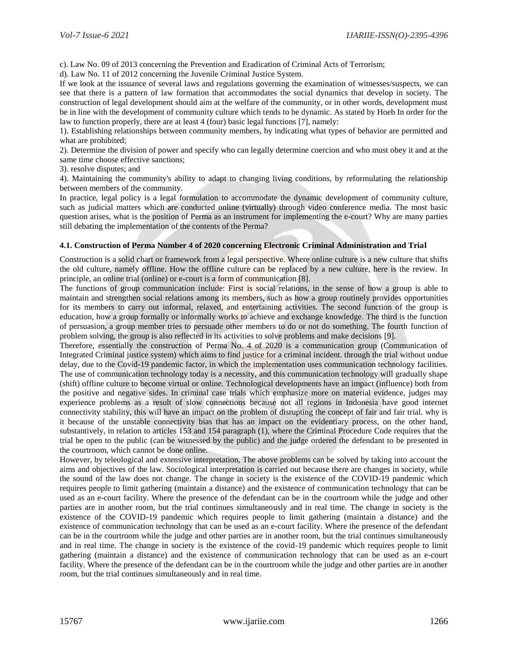c). Law No. 09 of 2013 concerning the Prevention and Eradication of Criminal Acts of Terrorism;

d). Law No. 11 of 2012 concerning the Juvenile Criminal Justice System.

If we look at the issuance of several laws and regulations governing the examination of witnesses/suspects, we can see that there is a pattern of law formation that accommodates the social dynamics that develop in society. The construction of legal development should aim at the welfare of the community, or in other words, development must be in line with the development of community culture which tends to be dynamic. As stated by Hoeb In order for the law to function properly, there are at least 4 (four) basic legal functions [7], namely:

1). Establishing relationships between community members, by indicating what types of behavior are permitted and what are prohibited;

2). Determine the division of power and specify who can legally determine coercion and who must obey it and at the same time choose effective sanctions;

3). resolve disputes; and

4). Maintaining the community's ability to adapt to changing living conditions, by reformulating the relationship between members of the community.

In practice, legal policy is a legal formulation to accommodate the dynamic development of community culture, such as judicial matters which are conducted online (virtually) through video conference media. The most basic question arises, what is the position of Perma as an instrument for implementing the e-court? Why are many parties still debating the implementation of the contents of the Perma?

#### **4.1. Construction of Perma Number 4 of 2020 concerning Electronic Criminal Administration and Trial**

Construction is a solid chart or framework from a legal perspective. Where online culture is a new culture that shifts the old culture, namely offline. How the offline culture can be replaced by a new culture, here is the review. In principle, an online trial (online) or e-court is a form of communication [8].

The functions of group communication include: First is social relations, in the sense of how a group is able to maintain and strengthen social relations among its members, such as how a group routinely provides opportunities for its members to carry out informal, relaxed, and entertaining activities. The second function of the group is education, how a group formally or informally works to achieve and exchange knowledge. The third is the function of persuasion, a group member tries to persuade other members to do or not do something. The fourth function of problem solving, the group is also reflected in its activities to solve problems and make decisions [9].

Therefore, essentially the construction of Perma No. 4 of 2020 is a communication group (Communication of Integrated Criminal justice system) which aims to find justice for a criminal incident. through the trial without undue delay, due to the Covid-19 pandemic factor, in which the implementation uses communication technology facilities. The use of communication technology today is a necessity, and this communication technology will gradually shape (shift) offline culture to become virtual or online. Technological developments have an impact (influence) both from the positive and negative sides. In criminal case trials which emphasize more on material evidence, judges may experience problems as a result of slow connections because not all regions in Indonesia have good internet connectivity stability, this will have an impact on the problem of disrupting the concept of fair and fair trial. why is it because of the unstable connectivity bias that has an impact on the evidentiary process, on the other hand, substantively, in relation to articles 153 and 154 paragraph (1), where the Criminal Procedure Code requires that the trial be open to the public (can be witnessed by the public) and the judge ordered the defendant to be presented in the courtroom, which cannot be done online.

However, by teleological and extensive interpretation, The above problems can be solved by taking into account the aims and objectives of the law. Sociological interpretation is carried out because there are changes in society, while the sound of the law does not change. The change in society is the existence of the COVID-19 pandemic which requires people to limit gathering (maintain a distance) and the existence of communication technology that can be used as an e-court facility. Where the presence of the defendant can be in the courtroom while the judge and other parties are in another room, but the trial continues simultaneously and in real time. The change in society is the existence of the COVID-19 pandemic which requires people to limit gathering (maintain a distance) and the existence of communication technology that can be used as an e-court facility. Where the presence of the defendant can be in the courtroom while the judge and other parties are in another room, but the trial continues simultaneously and in real time. The change in society is the existence of the covid-19 pandemic which requires people to limit gathering (maintain a distance) and the existence of communication technology that can be used as an e-court facility. Where the presence of the defendant can be in the courtroom while the judge and other parties are in another room, but the trial continues simultaneously and in real time.